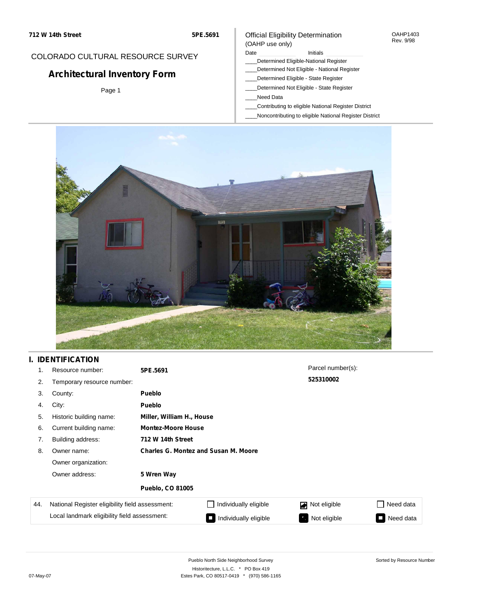### COLORADO CULTURAL RESOURCE SURVEY

# **Architectural Inventory Form**

Page 1

### Official Eligibility Determination (OAHP use only)

#### Date **Initials** Initials

- \_\_\_\_Determined Eligible-National Register
- \_\_\_\_Determined Not Eligible National Register
- \_\_\_\_Determined Eligible State Register
- \_\_\_\_Determined Not Eligible State Register
- \_\_\_\_Need Data
- \_\_\_\_Contributing to eligible National Register District
- \_\_\_\_Noncontributing to eligible National Register District



# **I. IDENTIFICATION**

| 1.  | Resource number:                                | 5PE.5691                                    |                           | Parcel number(s): |                |  |  |  |
|-----|-------------------------------------------------|---------------------------------------------|---------------------------|-------------------|----------------|--|--|--|
| 2.  | Temporary resource number:                      |                                             |                           | 525310002         |                |  |  |  |
| 3.  | County:                                         | <b>Pueblo</b>                               |                           |                   |                |  |  |  |
| 4.  | City:                                           | <b>Pueblo</b>                               |                           |                   |                |  |  |  |
| 5.  | Historic building name:                         |                                             | Miller, William H., House |                   |                |  |  |  |
| 6.  | Current building name:                          |                                             | <b>Montez-Moore House</b> |                   |                |  |  |  |
| 7.  | Building address:                               | 712 W 14th Street                           |                           |                   |                |  |  |  |
| 8.  | Owner name:                                     | <b>Charles G. Montez and Susan M. Moore</b> |                           |                   |                |  |  |  |
|     | Owner organization:                             |                                             |                           |                   |                |  |  |  |
|     | Owner address:                                  | 5 Wren Way                                  |                           |                   |                |  |  |  |
|     |                                                 | <b>Pueblo, CO 81005</b>                     |                           |                   |                |  |  |  |
| 44. | National Register eligibility field assessment: |                                             | Individually eligible     | Not eligible      | Need data      |  |  |  |
|     | Local landmark eligibility field assessment:    |                                             | Individually eligible     | Not eligible      | Need data<br>П |  |  |  |

OAHP1403 Rev. 9/98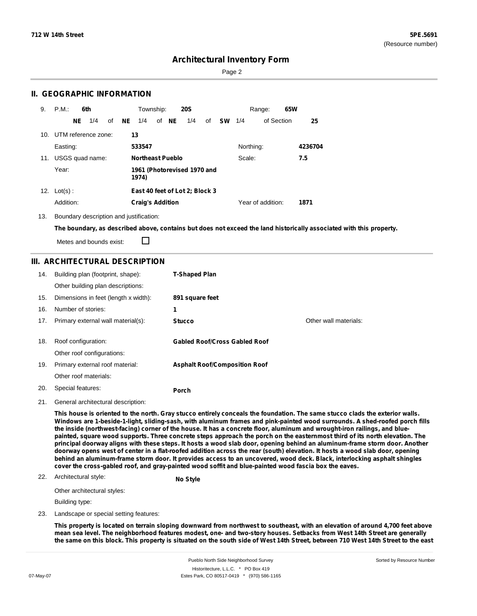Sorted by Resource Number

### **Architectural Inventory Form**

Page 2

### **II. GEOGRAPHIC INFORMATION**

| 9.  | P.M.                |     | 6th |    |    | Township:               |       | <b>20S</b>                     |    |           |           | Range:            | 65W |         |
|-----|---------------------|-----|-----|----|----|-------------------------|-------|--------------------------------|----|-----------|-----------|-------------------|-----|---------|
|     |                     | NE. | 1/4 | οf | NE | 1/4                     | of NE | 1/4                            | of | <b>SW</b> | 1/4       | of Section        |     | 25      |
| 10. | UTM reference zone: |     |     |    | 13 |                         |       |                                |    |           |           |                   |     |         |
|     | Easting:            |     |     |    |    | 533547                  |       |                                |    |           | Northing: |                   |     | 4236704 |
|     | 11. USGS quad name: |     |     |    |    | Northeast Pueblo        |       |                                |    |           | Scale:    |                   |     | 7.5     |
|     | Year:               |     |     |    |    | 1974)                   |       | 1961 (Photorevised 1970 and    |    |           |           |                   |     |         |
| 12. | $Lot(s)$ :          |     |     |    |    |                         |       | East 40 feet of Lot 2; Block 3 |    |           |           |                   |     |         |
|     | Addition:           |     |     |    |    | <b>Craig's Addition</b> |       |                                |    |           |           | Year of addition: |     | 1871    |

13. Boundary description and justification:

The boundary, as described above, contains but does not exceed the land historically associated with this property.

Metes and bounds exist:

П

### **III. ARCHITECTURAL DESCRIPTION**

| 14. | Building plan (footprint, shape):<br>Other building plan descriptions: | <b>T-Shaped Plan</b>                 |                       |
|-----|------------------------------------------------------------------------|--------------------------------------|-----------------------|
| 15. | Dimensions in feet (length x width):                                   | 891 square feet                      |                       |
| 16. | Number of stories:                                                     | 1                                    |                       |
| 17. | Primary external wall material(s):                                     | <b>Stucco</b>                        | Other wall materials: |
| 18. | Roof configuration:<br>Other roof configurations:                      | <b>Gabled Roof/Cross Gabled Roof</b> |                       |
| 19. | Primary external roof material:                                        | <b>Asphalt Roof/Composition Roof</b> |                       |
|     | Other roof materials:                                                  |                                      |                       |
| 20. | Special features:                                                      | Porch                                |                       |

21. General architectural description:

This house is oriented to the north. Gray stucco entirely conceals the foundation. The same stucco clads the exterior walls. Windows are 1-beside-1-light, sliding-sash, with aluminum frames and pink-painted wood surrounds. A shed-roofed porch fills the inside (northwest-facing) corner of the house. It has a concrete floor, aluminum and wrought-iron railings, and bluepainted, square wood supports. Three concrete steps approach the porch on the easternmost third of its north elevation. The principal doorway aligns with these steps. It hosts a wood slab door, opening behind an aluminum-frame storm door. Another doorway opens west of center in a flat-roofed addition across the rear (south) elevation. It hosts a wood slab door, opening behind an aluminum-frame storm door. It provides access to an uncovered, wood deck. Black, interlocking asphalt shingles **cover the cross-gabled roof, and gray-painted wood soffit and blue-painted wood fascia box the eaves.**

#### 22. Architectural style: **No Style**

Other architectural styles:

Building type:

23. Landscape or special setting features:

This property is located on terrain sloping downward from northwest to southeast, with an elevation of around 4,700 feet above mean sea level. The neighborhood features modest, one- and two-story houses. Setbacks from West 14th Street are generally the same on this block. This property is situated on the south side of West 14th Street, between 710 West 14th Street to the east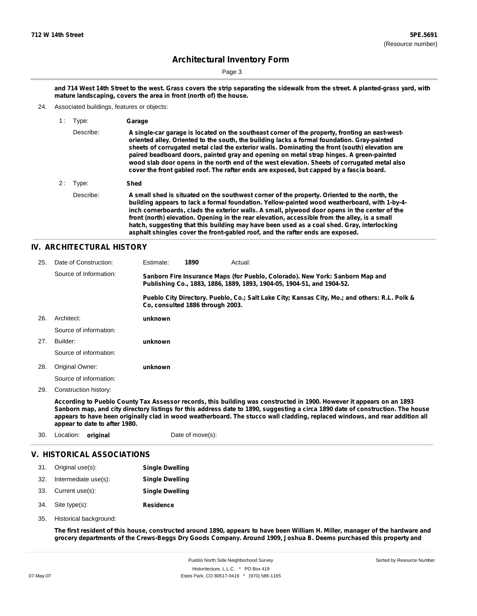Page 3

and 714 West 14th Street to the west. Grass covers the strip separating the sidewalk from the street. A planted-grass yard, with **mature landscaping, covers the area in front (north of) the house.**

24. Associated buildings, features or objects:

| 1: | Type:     | Garage                                                                                                                                                                                                                                                                                                                                                                                                                                                                                                                                                                                |
|----|-----------|---------------------------------------------------------------------------------------------------------------------------------------------------------------------------------------------------------------------------------------------------------------------------------------------------------------------------------------------------------------------------------------------------------------------------------------------------------------------------------------------------------------------------------------------------------------------------------------|
|    | Describe: | A single-car garage is located on the southeast corner of the property, fronting an east-west-<br>oriented alley. Oriented to the south, the building lacks a formal foundation. Gray-painted<br>sheets of corrugated metal clad the exterior walls. Dominating the front (south) elevation are<br>paired beadboard doors, painted gray and opening on metal strap hinges. A green-painted<br>wood slab door opens in the north end of the west elevation. Sheets of corrugated metal also<br>cover the front gabled roof. The rafter ends are exposed, but capped by a fascia board. |
| 2: | Type:     | Shed                                                                                                                                                                                                                                                                                                                                                                                                                                                                                                                                                                                  |
|    | Describe: | A small shed is situated on the southwest corner of the property. Oriented to the north, the<br>building appears to lack a formal foundation. Yellow-painted wood weatherboard, with 1-by-4-<br>inch cornerboards, clads the exterior walls. A small, plywood door opens in the center of the<br>front (north) elevation. Opening in the rear elevation, accessible from the alley, is a small<br>hatch, suggesting that this building may have been used as a coal shed. Gray, interlocking<br>asphalt shingles cover the front-gabled roof, and the rafter ends are exposed.        |

#### **IV. ARCHITECTURAL HISTORY**

| 25. | Date of Construction:  | Estimate:                                                                                                                                               | 1890                             | Actual: |                                                                                               |  |
|-----|------------------------|---------------------------------------------------------------------------------------------------------------------------------------------------------|----------------------------------|---------|-----------------------------------------------------------------------------------------------|--|
|     | Source of Information: | Sanborn Fire Insurance Maps (for Pueblo, Colorado). New York: Sanborn Map and<br>Publishing Co., 1883, 1886, 1889, 1893, 1904-05, 1904-51, and 1904-52. |                                  |         |                                                                                               |  |
|     |                        |                                                                                                                                                         | Co. consulted 1886 through 2003. |         | Pueblo City Directory. Pueblo, Co.; Salt Lake City; Kansas City, Mo.; and others: R.L. Polk & |  |
| 26. | Architect:             | unknown                                                                                                                                                 |                                  |         |                                                                                               |  |
|     | Source of information: |                                                                                                                                                         |                                  |         |                                                                                               |  |
| 27. | Builder:               | unknown                                                                                                                                                 |                                  |         |                                                                                               |  |
|     | Source of information: |                                                                                                                                                         |                                  |         |                                                                                               |  |
| 28. | Original Owner:        | unknown                                                                                                                                                 |                                  |         |                                                                                               |  |
|     | Source of information: |                                                                                                                                                         |                                  |         |                                                                                               |  |
| 29. | Construction history:  |                                                                                                                                                         |                                  |         |                                                                                               |  |
|     |                        |                                                                                                                                                         |                                  |         |                                                                                               |  |

According to Pueblo County Tax Assessor records, this building was constructed in 1900. However it appears on an 1893 Sanborn map, and city directory listings for this address date to 1890, suggesting a circa 1890 date of construction. The house appears to have been originally clad in wood weatherboard. The stucco wall cladding, replaced windows, and rear addition all **appear to date to after 1980.**

| 30. | Location: <b>original</b> |                            | Date of move(s):       |  |
|-----|---------------------------|----------------------------|------------------------|--|
|     |                           | V. HISTORICAL ASSOCIATIONS |                        |  |
| 31. | Original use(s):          |                            | <b>Single Dwelling</b> |  |
| 32. | Intermediate use(s):      |                            | <b>Single Dwelling</b> |  |
| 33. | Current use(s):           |                            | <b>Single Dwelling</b> |  |

- 34.
- **Residence** Site type(s):
- 35. Historical background:

The first resident of this house, constructed around 1890, appears to have been William H. Miller, manager of the hardware and grocery departments of the Crews-Beggs Dry Goods Company. Around 1909, Joshua B. Deems purchased this property and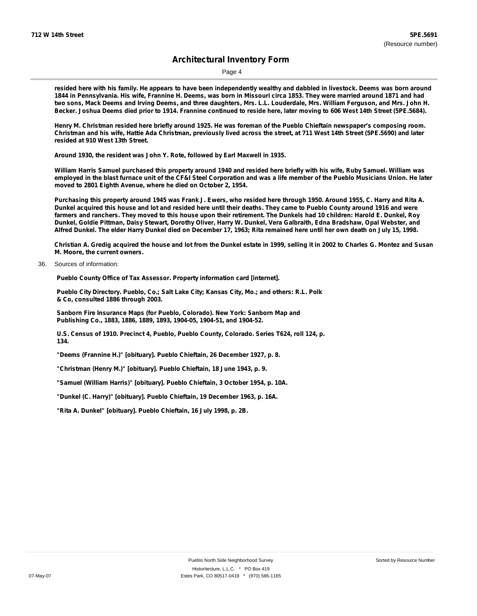Page 4

resided here with his family. He appears to have been independently wealthy and dabbled in livestock. Deems was born around 1844 in Pennsylvania. His wife, Frannine H. Deems, was born in Missouri circa 1853. They were married around 1871 and had two sons, Mack Deems and Irving Deems, and three daughters, Mrs. L.L. Louderdale, Mrs. William Ferguson, and Mrs. John H. Becker. Joshua Deems died prior to 1914. Frannine continued to reside here, later moving to 606 West 14th Street (5PE.5684).

Henry M. Christman resided here briefly around 1925. He was foreman of the Pueblo Chieftain newspaper's composing room. Christman and his wife, Hattie Ada Christman, previously lived across the street, at 711 West 14th Street (5PE.5690) and later **resided at 910 West 13th Street.**

**Around 1930, the resident was John Y. Rote, followed by Earl Maxwell in 1935.**

William Harris Samuel purchased this property around 1940 and resided here briefly with his wife, Ruby Samuel. William was employed in the blast furnace unit of the CF&I Steel Corporation and was a life member of the Pueblo Musicians Union. He later **moved to 2801 Eighth Avenue, where he died on October 2, 1954.**

Purchasing this property around 1945 was Frank J. Ewers, who resided here through 1950. Around 1955, C. Harry and Rita A. Dunkel acquired this house and lot and resided here until their deaths. They came to Pueblo County around 1916 and were farmers and ranchers. They moved to this house upon their retirement. The Dunkels had 10 children: Harold E. Dunkel, Roy Dunkel, Goldie Pittman, Daisy Stewart, Dorothy Oliver, Harry W. Dunkel, Vera Galbraith, Edna Bradshaw, Opal Webster, and Alfred Dunkel. The elder Harry Dunkel died on December 17, 1963; Rita remained here until her own death on July 15, 1998.

Christian A. Gredig acquired the house and lot from the Dunkel estate in 1999, selling it in 2002 to Charles G. Montez and Susan **M. Moore, the current owners.**

36. Sources of information:

**Pueblo County Office of Tax Assessor. Property information card [internet].**

**Pueblo City Directory. Pueblo, Co.; Salt Lake City; Kansas City, Mo.; and others: R.L. Polk & Co, consulted 1886 through 2003.**

**Sanborn Fire Insurance Maps (for Pueblo, Colorado). New York: Sanborn Map and Publishing Co., 1883, 1886, 1889, 1893, 1904-05, 1904-51, and 1904-52.**

**U.S. Census of 1910. Precinct 4, Pueblo, Pueblo County, Colorado. Series T624, roll 124, p. 134.**

**"Deems (Frannine H.)" [obituary]. Pueblo Chieftain, 26 December 1927, p. 8.**

**"Christman (Henry M.)" [obituary]. Pueblo Chieftain, 18 June 1943, p. 9.**

**"Samuel (William Harris)" [obituary]. Pueblo Chieftain, 3 October 1954, p. 10A.**

**"Dunkel (C. Harry)" [obituary]. Pueblo Chieftain, 19 December 1963, p. 16A.**

**"Rita A. Dunkel" [obituary]. Pueblo Chieftain, 16 July 1998, p. 2B.**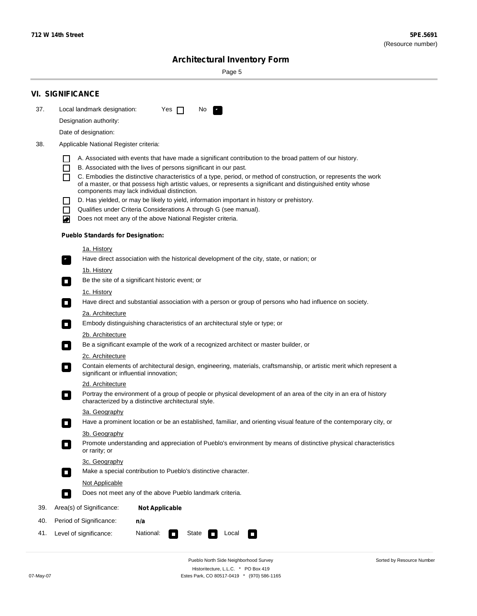$\sim$ 

Sorted by Resource Number

# **Architectural Inventory Form**

Page 5

|     | <b>VI. SIGNIFICANCE</b>    |                                          |                                                                                                                                                                              |  |  |  |  |  |
|-----|----------------------------|------------------------------------------|------------------------------------------------------------------------------------------------------------------------------------------------------------------------------|--|--|--|--|--|
| 37. |                            | Local landmark designation:              | Yes $\Box$<br>No.<br>$\mathbf{r}_1$                                                                                                                                          |  |  |  |  |  |
|     |                            | Designation authority:                   |                                                                                                                                                                              |  |  |  |  |  |
|     |                            | Date of designation:                     |                                                                                                                                                                              |  |  |  |  |  |
| 38. |                            | Applicable National Register criteria:   |                                                                                                                                                                              |  |  |  |  |  |
|     |                            |                                          |                                                                                                                                                                              |  |  |  |  |  |
|     | H<br>$\Box$                |                                          | A. Associated with events that have made a significant contribution to the broad pattern of our history.<br>B. Associated with the lives of persons significant in our past. |  |  |  |  |  |
|     | П                          |                                          | C. Embodies the distinctive characteristics of a type, period, or method of construction, or represents the work                                                             |  |  |  |  |  |
|     |                            |                                          | of a master, or that possess high artistic values, or represents a significant and distinguished entity whose<br>components may lack individual distinction.                 |  |  |  |  |  |
|     |                            |                                          | D. Has yielded, or may be likely to yield, information important in history or prehistory.                                                                                   |  |  |  |  |  |
|     | $\blacksquare$             |                                          | Qualifies under Criteria Considerations A through G (see manual).                                                                                                            |  |  |  |  |  |
|     | O                          |                                          | Does not meet any of the above National Register criteria.                                                                                                                   |  |  |  |  |  |
|     |                            | <b>Pueblo Standards for Designation:</b> |                                                                                                                                                                              |  |  |  |  |  |
|     |                            | 1a. History                              |                                                                                                                                                                              |  |  |  |  |  |
|     | $\overline{\phantom{a}}$ . |                                          | Have direct association with the historical development of the city, state, or nation; or                                                                                    |  |  |  |  |  |
|     |                            | <u>1b. History</u>                       |                                                                                                                                                                              |  |  |  |  |  |
|     | $\Box$                     |                                          | Be the site of a significant historic event; or                                                                                                                              |  |  |  |  |  |
|     |                            | 1c. History                              |                                                                                                                                                                              |  |  |  |  |  |
|     | $\Box$                     |                                          | Have direct and substantial association with a person or group of persons who had influence on society.                                                                      |  |  |  |  |  |
|     |                            | 2a. Architecture                         |                                                                                                                                                                              |  |  |  |  |  |
|     | $\Box$                     |                                          | Embody distinguishing characteristics of an architectural style or type; or                                                                                                  |  |  |  |  |  |
|     |                            | 2b. Architecture                         | Be a significant example of the work of a recognized architect or master builder, or                                                                                         |  |  |  |  |  |
|     | $\overline{\phantom{a}}$   | 2c. Architecture                         |                                                                                                                                                                              |  |  |  |  |  |
|     | $\Box$                     |                                          | Contain elements of architectural design, engineering, materials, craftsmanship, or artistic merit which represent a                                                         |  |  |  |  |  |
|     |                            |                                          | significant or influential innovation;                                                                                                                                       |  |  |  |  |  |
|     | $\overline{\phantom{a}}$   | 2d. Architecture                         | Portray the environment of a group of people or physical development of an area of the city in an era of history                                                             |  |  |  |  |  |
|     |                            |                                          | characterized by a distinctive architectural style.                                                                                                                          |  |  |  |  |  |
|     |                            | 3a. Geography                            |                                                                                                                                                                              |  |  |  |  |  |
|     |                            |                                          | Have a prominent location or be an established, familiar, and orienting visual feature of the contemporary city, or                                                          |  |  |  |  |  |
|     |                            | 3b. Geography                            |                                                                                                                                                                              |  |  |  |  |  |
|     |                            | or rarity; or                            | Promote understanding and appreciation of Pueblo's environment by means of distinctive physical characteristics                                                              |  |  |  |  |  |
|     |                            | 3c. Geography                            |                                                                                                                                                                              |  |  |  |  |  |
|     | $\Box$                     |                                          | Make a special contribution to Pueblo's distinctive character.                                                                                                               |  |  |  |  |  |
|     |                            |                                          | Not Applicable                                                                                                                                                               |  |  |  |  |  |
|     | $\Box$                     |                                          | Does not meet any of the above Pueblo landmark criteria.                                                                                                                     |  |  |  |  |  |
| 39. |                            | Area(s) of Significance:                 | <b>Not Applicable</b>                                                                                                                                                        |  |  |  |  |  |
| 40. |                            | Period of Significance:                  | n/a                                                                                                                                                                          |  |  |  |  |  |
| 41. |                            | Level of significance:                   | National:<br>State<br>Local<br>$\Box$<br>O                                                                                                                                   |  |  |  |  |  |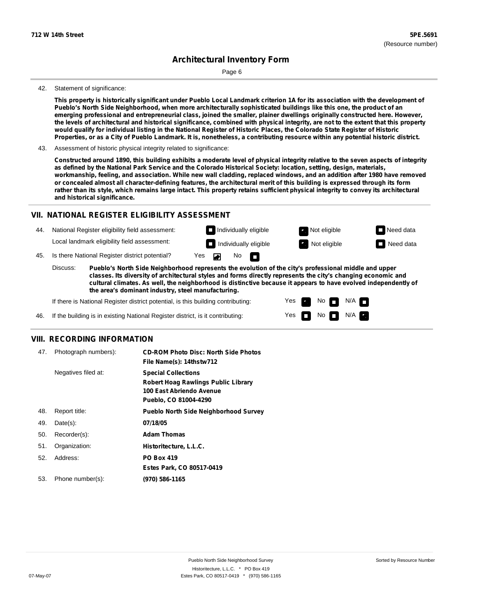Page 6

#### 42. Statement of significance:

This property is historically significant under Pueblo Local Landmark criterion 1A for its association with the development of Pueblo's North Side Neighborhood, when more architecturally sophisticated buildings like this one, the product of an **emerging professional and entrepreneurial class, joined the smaller, plainer dwellings originally constructed here. However,** the levels of architectural and historical significance, combined with physical integrity, are not to the extent that this property would qualify for individual listing in the National Register of Historic Places, the Colorado State Register of Historic Properties, or as a City of Pueblo Landmark. It is, nonetheless, a contributing resource within any potential historic district.

43. Assessment of historic physical integrity related to significance:

Constructed around 1890, this building exhibits a moderate level of physical integrity relative to the seven aspects of integrity as defined by the National Park Service and the Colorado Historical Society: location, setting, design, materials, workmanship, feeling, and association. While new wall cladding, replaced windows, and an addition after 1980 have removed or concealed almost all character-defining features, the architectural merit of this building is expressed through its form rather than its style, which remains large intact. This property retains sufficient physical integrity to convey its architectural **and historical significance.**

#### **VII. NATIONAL REGISTER ELIGIBILITY ASSESSMENT**

National Register eligibility field assessment: 44. Local landmark eligibility field assessment:

**Individually eligible Not eligible** Not eligible **Need data Individually eligible Not eligible** Not eligible **Need data** 

No<sub>D</sub>

No

 $No$  N/A

 $N/A$   $\Box$ 

Yes Yes

45. Is there National Register district potential? Yes

**Pueblo's North Side Neighborhood represents the evolution of the city's professional middle and upper classes. Its diversity of architectural styles and forms directly represents the city's changing economic and cultural climates. As well, the neighborhood is distinctive because it appears to have evolved independently of the area's dominant industry, steel manufacturing.** Discuss:

 $\blacksquare$ 

If there is National Register district potential, is this building contributing:



#### **VIII. RECORDING INFORMATION**

| 47. | Photograph numbers): | <b>CD-ROM Photo Disc: North Side Photos</b><br>File Name(s): 14thstw712                                                       |
|-----|----------------------|-------------------------------------------------------------------------------------------------------------------------------|
|     | Negatives filed at:  | <b>Special Collections</b><br><b>Robert Hoag Rawlings Public Library</b><br>100 East Abriendo Avenue<br>Pueblo, CO 81004-4290 |
| 48. | Report title:        | <b>Pueblo North Side Neighborhood Survey</b>                                                                                  |
| 49. | $Date(s)$ :          | 07/18/05                                                                                                                      |
| 50. | Recorder(s):         | <b>Adam Thomas</b>                                                                                                            |
| 51. | Organization:        | Historitecture, L.L.C.                                                                                                        |
| 52. | Address:             | <b>PO Box 419</b>                                                                                                             |
|     |                      | Estes Park, CO 80517-0419                                                                                                     |
| 53. | Phone number(s):     | (970) 586-1165                                                                                                                |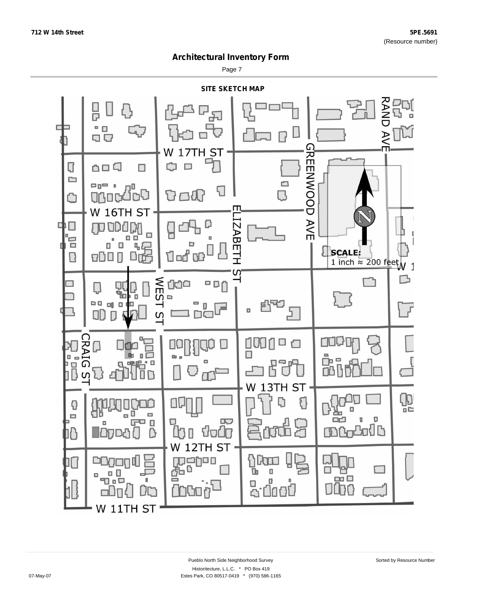Page 7